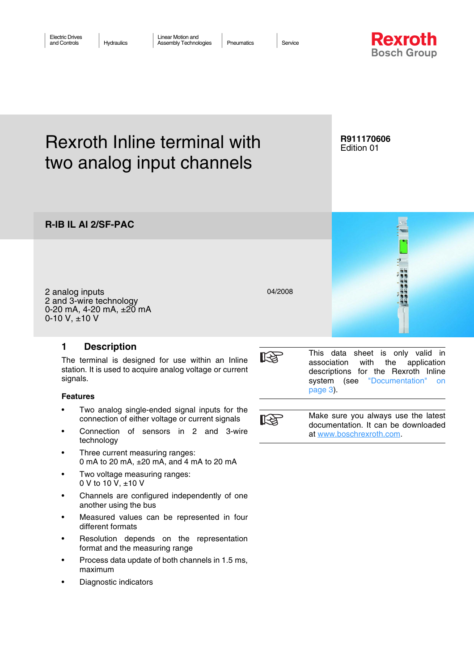

# Rexroth Inline terminal with two analog input channels

## **R911170606** Edition 01

**R-IB IL AI 2/SF-PAC**

2 analog inputs 2 and 3-wire technology 0-20 mA,  $4-20$  mA,  $\pm 20$  mA 0-10 V,  $±10$  V

# <span id="page-0-0"></span>**1 Description**

The terminal is designed for use within an Inline station. It is used to acquire analog voltage or current signals.

## **Features**

- Two analog single-ended signal inputs for the connection of either voltage or current signals
- Connection of sensors in 2 and 3-wire technology
- Three current measuring ranges: 0 mA to 20 mA, ±20 mA, and 4 mA to 20 mA
- Two voltage measuring ranges: 0 V to 10 V, ±10 V
- Channels are configured independently of one another using the bus
- Measured values can be represented in four different formats
- Resolution depends on the representation format and the measuring range
- Process data update of both channels in 1.5 ms, maximum
- Diagnostic indicators



04/2008

This data sheet is only valid in association with the application descriptions for the Rexroth Inline system (see ["Documentation" on](#page-2-0) [page 3](#page-2-0)).



Make sure you always use the latest documentation. It can be downloaded at [www.boschrexroth.com.](http://www.boschrexroth.com)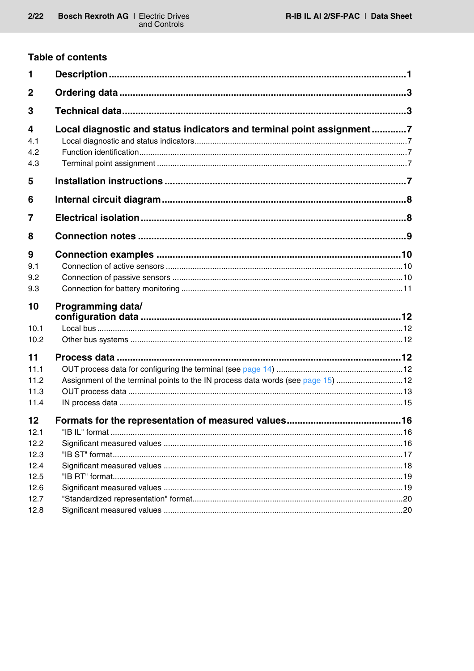# **Table of contents**

| 1                      |                                                                                 |  |
|------------------------|---------------------------------------------------------------------------------|--|
| $\mathbf 2$            |                                                                                 |  |
| 3                      |                                                                                 |  |
| 4<br>4.1<br>4.2<br>4.3 | Local diagnostic and status indicators and terminal point assignment7           |  |
| 5                      |                                                                                 |  |
| 6                      |                                                                                 |  |
| 7                      |                                                                                 |  |
| 8                      |                                                                                 |  |
| 9<br>9.1<br>9.2<br>9.3 |                                                                                 |  |
| 10                     | <b>Programming data/</b>                                                        |  |
| 10.1                   |                                                                                 |  |
| 10.2                   |                                                                                 |  |
| 11                     |                                                                                 |  |
| 11.1                   |                                                                                 |  |
| 11.2                   | Assignment of the terminal points to the IN process data words (see page 15) 12 |  |
| 11.3                   |                                                                                 |  |
| 11.4                   |                                                                                 |  |
| 12                     |                                                                                 |  |
| 12.1                   |                                                                                 |  |
| 12.2                   |                                                                                 |  |
| 12.3                   |                                                                                 |  |
| 12.4                   |                                                                                 |  |
| 12.5                   |                                                                                 |  |
| 12.6                   |                                                                                 |  |
| 12.7<br>12.8           |                                                                                 |  |
|                        |                                                                                 |  |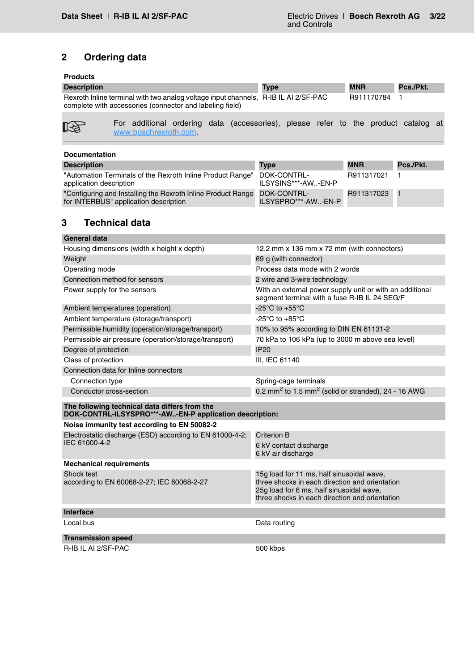# <span id="page-2-1"></span>**2 Ordering data**

## **Products**

| <b>Description</b>                                                                                                                              |                                                                                                            |  | <b>Type</b> |  | <b>MNR</b> |            | Pcs./Pkt. |  |
|-------------------------------------------------------------------------------------------------------------------------------------------------|------------------------------------------------------------------------------------------------------------|--|-------------|--|------------|------------|-----------|--|
| Rexroth Inline terminal with two analog voltage input channels, R-IB IL AI 2/SF-PAC<br>complete with accessories (connector and labeling field) |                                                                                                            |  |             |  |            | R911170784 |           |  |
| 咚                                                                                                                                               | For additional ordering data (accessories), please refer to the product catalog at<br>www.boschrexroth.com |  |             |  |            |            |           |  |

<span id="page-2-0"></span>

| <b>Documentation</b>                                                                                  |                                    |            |           |
|-------------------------------------------------------------------------------------------------------|------------------------------------|------------|-----------|
| <b>Description</b>                                                                                    | <b>Type</b>                        | <b>MNR</b> | Pcs./Pkt. |
| "Automation Terminals of the Rexroth Inline Product Range"<br>application description                 | DOK-CONTRL-<br>ILSYSINS***-AW-EN-P | R911317021 |           |
| "Configuring and Installing the Rexroth Inline Product Range<br>for INTERBUS" application description | DOK-CONTRL-<br>ILSYSPRO***-AW-EN-P | R911317023 |           |

# <span id="page-2-2"></span>**3 Technical data**

| General data                                                                                             |                                                                                                                                                                                           |
|----------------------------------------------------------------------------------------------------------|-------------------------------------------------------------------------------------------------------------------------------------------------------------------------------------------|
| Housing dimensions (width x height x depth)                                                              | 12.2 mm x 136 mm x 72 mm (with connectors)                                                                                                                                                |
| Weight                                                                                                   | 69 g (with connector)                                                                                                                                                                     |
| Operating mode                                                                                           | Process data mode with 2 words                                                                                                                                                            |
| Connection method for sensors                                                                            | 2 wire and 3-wire technology                                                                                                                                                              |
| Power supply for the sensors                                                                             | With an external power supply unit or with an additional<br>segment terminal with a fuse R-IB IL 24 SEG/F                                                                                 |
| Ambient temperatures (operation)                                                                         | -25 $^{\circ}$ C to +55 $^{\circ}$ C                                                                                                                                                      |
| Ambient temperature (storage/transport)                                                                  | -25 $\mathrm{^{\circ}C}$ to +85 $\mathrm{^{\circ}C}$                                                                                                                                      |
| Permissible humidity (operation/storage/transport)                                                       | 10% to 95% according to DIN EN 61131-2                                                                                                                                                    |
| Permissible air pressure (operation/storage/transport)                                                   | 70 kPa to 106 kPa (up to 3000 m above sea level)                                                                                                                                          |
| Degree of protection                                                                                     | <b>IP20</b>                                                                                                                                                                               |
| Class of protection                                                                                      | III, IEC 61140                                                                                                                                                                            |
| Connection data for Inline connectors                                                                    |                                                                                                                                                                                           |
| Connection type                                                                                          | Spring-cage terminals                                                                                                                                                                     |
| Conductor cross-section                                                                                  | 0.2 mm <sup>2</sup> to 1.5 mm <sup>2</sup> (solid or stranded), 24 - 16 AWG                                                                                                               |
| The following technical data differs from the<br>DOK-CONTRL-ILSYSPRO***-AW-EN-P application description: |                                                                                                                                                                                           |
| Noise immunity test according to EN 50082-2                                                              |                                                                                                                                                                                           |
| Electrostatic discharge (ESD) according to EN 61000-4-2;<br>IEC 61000-4-2                                | Criterion B<br>6 kV contact discharge<br>6 kV air discharge                                                                                                                               |
| <b>Mechanical requirements</b>                                                                           |                                                                                                                                                                                           |
| Shock test<br>according to EN 60068-2-27; IEC 60068-2-27                                                 | 15g load for 11 ms, half sinusoidal wave,<br>three shocks in each direction and orientation<br>25g load for 6 ms, half sinusoidal wave,<br>three shocks in each direction and orientation |
| Interface                                                                                                |                                                                                                                                                                                           |
| Local bus                                                                                                | Data routing                                                                                                                                                                              |
| <b>Transmission speed</b>                                                                                |                                                                                                                                                                                           |
| R-IB IL AI 2/SF-PAC                                                                                      | 500 kbps                                                                                                                                                                                  |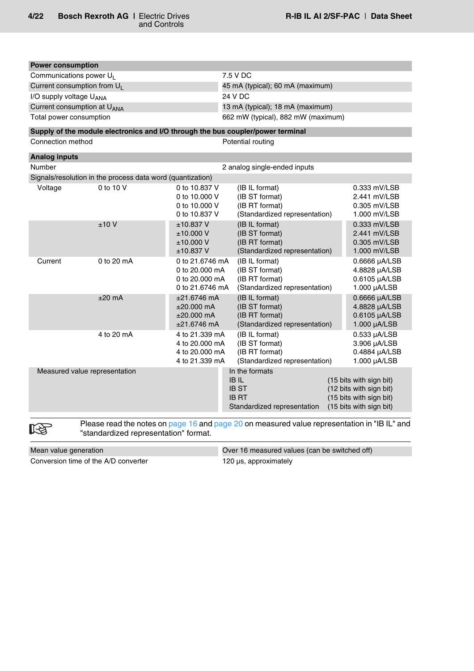0.533 µA/LSB 3.906 µA/LSB 0.4884 µA/LSB 1.000 µA/LSB

 $(15$  bits with sign bit)

| <b>Power consumption</b>                |                                                                                 |                                                                                  |                                                                                     |                                                                 |  |  |  |
|-----------------------------------------|---------------------------------------------------------------------------------|----------------------------------------------------------------------------------|-------------------------------------------------------------------------------------|-----------------------------------------------------------------|--|--|--|
| Communications power U <sub>I</sub>     |                                                                                 |                                                                                  | 7.5 V DC                                                                            |                                                                 |  |  |  |
| Current consumption from U <sub>1</sub> |                                                                                 |                                                                                  | 45 mA (typical); 60 mA (maximum)                                                    |                                                                 |  |  |  |
| I/O supply voltage UANA                 |                                                                                 |                                                                                  | 24 V DC                                                                             |                                                                 |  |  |  |
| Current consumption at U <sub>ANA</sub> |                                                                                 |                                                                                  | 13 mA (typical); 18 mA (maximum)                                                    |                                                                 |  |  |  |
| Total power consumption                 |                                                                                 |                                                                                  | 662 mW (typical), 882 mW (maximum)                                                  |                                                                 |  |  |  |
|                                         | Supply of the module electronics and I/O through the bus coupler/power terminal |                                                                                  |                                                                                     |                                                                 |  |  |  |
| Connection method                       |                                                                                 |                                                                                  | Potential routing                                                                   |                                                                 |  |  |  |
| <b>Analog inputs</b>                    |                                                                                 |                                                                                  |                                                                                     |                                                                 |  |  |  |
| <b>Number</b>                           |                                                                                 |                                                                                  | 2 analog single-ended inputs                                                        |                                                                 |  |  |  |
|                                         | Signals/resolution in the process data word (quantization)                      |                                                                                  |                                                                                     |                                                                 |  |  |  |
| Voltage                                 | 0 to 10 V                                                                       | 0 to 10.837 V<br>0 to 10,000 V<br>0 to 10,000 V<br>0 to 10.837 V                 | (IB IL format)<br>(IB ST format)<br>(IB RT format)<br>(Standardized representation) | 0.333 mV/LSB<br>2.441 mV/LSB<br>0.305 mV/LSB<br>1.000 mV/LSB    |  |  |  |
|                                         | ±10V                                                                            | $±10.837$ V<br>±10.000V<br>±10.000V<br>$±10.837$ V                               | (IB IL format)<br>(IB ST format)<br>(IB RT format)<br>(Standardized representation) | 0.333 mV/LSB<br>2.441 mV/LSB<br>0.305 mV/LSB<br>1.000 mV/LSB    |  |  |  |
| Current                                 | 0 to $20 \text{ mA}$                                                            | 0 to 21.6746 mA<br>0 to $20.000 \text{ mA}$<br>0 to 20,000 mA<br>0 to 21.6746 mA | (IB IL format)<br>(IB ST format)<br>(IB RT format)<br>(Standardized representation) | 0.6666 µA/LSB<br>4.8828 µA/LSB<br>0.6105 µA/LSB<br>1.000 µA/LSB |  |  |  |
|                                         | $±20$ mA                                                                        | $±21.6746$ mA<br>$±20.000$ mA<br>$±20.000$ mA<br>$±21.6746$ mA                   | (IB IL format)<br>(IB ST format)<br>(IB RT format)<br>(Standardized representation) | 0.6666 µA/LSB<br>4.8828 µA/LSB<br>0.6105 µA/LSB<br>1.000 µA/LSB |  |  |  |

4 to 20 mA 4 to 21.339 mA (IB IL format)

Measured value representation In the formats<br>IB IL

隐

Please read the notes on [page 16](#page-15-1) and [page 20](#page-19-0) on measured value representation in "IB IL" and "standardized representation" format.

4 to 20.000 mA (IB ST format) 4 to 20.000 mA (IB RT format)<br>4 to 21.339 mA (Standardized

Mean value generation **Mean value generation** Over 16 measured values (can be switched off) Conversion time of the A/D converter 120 µs, approximately

(Standardized representation)

Standardized representation

IB ST (12 bits with sign bit) IB RT (15 bits with sign bit)<br>Standardized representation (15 bits with sign bit)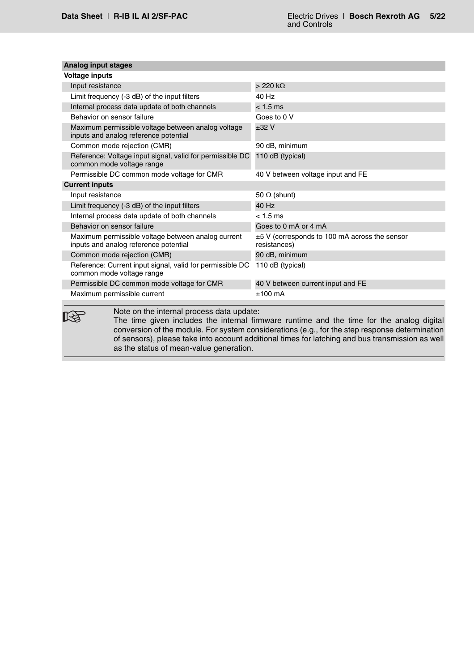| <b>Voltage inputs</b>                                                                       |                                                                    |
|---------------------------------------------------------------------------------------------|--------------------------------------------------------------------|
| Input resistance                                                                            | $>220$ k $\Omega$                                                  |
| Limit frequency (-3 dB) of the input filters                                                | 40 Hz                                                              |
| Internal process data update of both channels                                               | $< 1.5$ ms                                                         |
| Behavior on sensor failure                                                                  | Goes to 0 V                                                        |
| Maximum permissible voltage between analog voltage<br>inputs and analog reference potential | ±32V                                                               |
| Common mode rejection (CMR)                                                                 | 90 dB, minimum                                                     |
| Reference: Voltage input signal, valid for permissible DC<br>common mode voltage range      | 110 dB (typical)                                                   |
| Permissible DC common mode voltage for CMR                                                  | 40 V between voltage input and FE                                  |
| <b>Current inputs</b>                                                                       |                                                                    |
| Input resistance                                                                            | 50 $\Omega$ (shunt)                                                |
| Limit frequency (-3 dB) of the input filters                                                | 40 Hz                                                              |
| Internal process data update of both channels                                               | $< 1.5 \text{ ms}$                                                 |
| Behavior on sensor failure                                                                  | Goes to 0 mA or 4 mA                                               |
| Maximum permissible voltage between analog current<br>inputs and analog reference potential | $\pm$ 5 V (corresponds to 100 mA across the sensor<br>resistances) |
| Common mode rejection (CMR)                                                                 | 90 dB, minimum                                                     |
| Reference: Current input signal, valid for permissible DC<br>common mode voltage range      | 110 dB (typical)                                                   |
| Permissible DC common mode voltage for CMR                                                  | 40 V between current input and FE                                  |
| Maximum permissible current                                                                 | $±100$ mA                                                          |

The time given includes the internal firmware runtime and the time for the analog digital conversion of the module. For system considerations (e.g., for the step response determination of sensors), please take into account additional times for latching and bus transmission as well as the status of mean-value generation.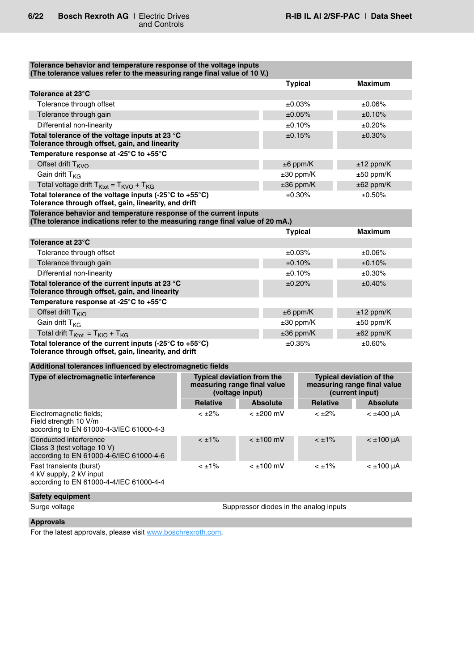| Tolerance behavior and temperature response of the voltage inputs<br>(The tolerance values refer to the measuring range final value of 10 V.)       |                                                                                     |  |                  |                                        |                |                                                                                   |
|-----------------------------------------------------------------------------------------------------------------------------------------------------|-------------------------------------------------------------------------------------|--|------------------|----------------------------------------|----------------|-----------------------------------------------------------------------------------|
|                                                                                                                                                     |                                                                                     |  |                  | <b>Typical</b>                         |                | Maximum                                                                           |
| Tolerance at 23°C                                                                                                                                   |                                                                                     |  |                  |                                        |                |                                                                                   |
| Tolerance through offset                                                                                                                            |                                                                                     |  |                  | ±0.03%                                 |                | $±0.06\%$                                                                         |
| Tolerance through gain                                                                                                                              |                                                                                     |  |                  | ±0.05%                                 |                | ±0.10%                                                                            |
| Differential non-linearity                                                                                                                          |                                                                                     |  |                  | ±0.10%                                 |                | ±0.20%                                                                            |
| Total tolerance of the voltage inputs at 23 °C<br>Tolerance through offset, gain, and linearity                                                     |                                                                                     |  |                  | ±0.15%                                 |                | $±0.30\%$                                                                         |
| Temperature response at -25°C to +55°C                                                                                                              |                                                                                     |  |                  |                                        |                |                                                                                   |
| Offset drift T <sub>KVO</sub>                                                                                                                       |                                                                                     |  |                  | $±6$ ppm/K                             |                | $±12$ ppm/K                                                                       |
| Gain drift $T_{KG}$                                                                                                                                 |                                                                                     |  |                  | $\pm 30$ ppm/K                         |                | $±50$ ppm/K                                                                       |
| Total voltage drift $T_{Ktot} = T_{KVO} + T_{KG}$                                                                                                   |                                                                                     |  |                  | $±36$ ppm/K                            |                | $\pm 62$ ppm/K                                                                    |
| Total tolerance of the voltage inputs (-25°C to +55°C)<br>Tolerance through offset, gain, linearity, and drift                                      |                                                                                     |  |                  | ±0.30%                                 |                | ±0.50%                                                                            |
| Tolerance behavior and temperature response of the current inputs<br>(The tolerance indications refer to the measuring range final value of 20 mA.) |                                                                                     |  |                  |                                        |                |                                                                                   |
|                                                                                                                                                     |                                                                                     |  |                  | <b>Typical</b>                         |                | <b>Maximum</b>                                                                    |
| Tolerance at 23°C                                                                                                                                   |                                                                                     |  |                  |                                        |                |                                                                                   |
| Tolerance through offset                                                                                                                            |                                                                                     |  |                  | ±0.03%                                 |                | ±0.06%                                                                            |
| Tolerance through gain                                                                                                                              |                                                                                     |  |                  | ±0.10%                                 |                | ±0.10%                                                                            |
| Differential non-linearity                                                                                                                          |                                                                                     |  | ±0.10%           |                                        |                | $±0.30\%$                                                                         |
| Total tolerance of the current inputs at 23 °C<br>Tolerance through offset, gain, and linearity                                                     |                                                                                     |  | ±0.20%           |                                        |                | ±0.40%                                                                            |
| Temperature response at -25 $^{\circ}$ C to +55 $^{\circ}$ C                                                                                        |                                                                                     |  |                  |                                        |                |                                                                                   |
| Offset drift $T_{KIO}$                                                                                                                              |                                                                                     |  | $±6$ ppm/K       |                                        |                | $±12$ ppm/K                                                                       |
| Gain drift T <sub>KG</sub>                                                                                                                          |                                                                                     |  | $\pm 30$ ppm/K   |                                        |                | $±50$ ppm/K                                                                       |
| Total drift $T_{Ktot} = T_{KIO} + T_{KG}$                                                                                                           |                                                                                     |  | $±36$ ppm/K      |                                        | $\pm 62$ ppm/K |                                                                                   |
| Total tolerance of the current inputs (-25°C to +55°C)<br>Tolerance through offset, gain, linearity, and drift                                      |                                                                                     |  | ±0.35%           |                                        | $±0.60\%$      |                                                                                   |
| Additional tolerances influenced by electromagnetic fields                                                                                          |                                                                                     |  |                  |                                        |                |                                                                                   |
| Type of electromagnetic interference                                                                                                                | <b>Typical deviation from the</b><br>measuring range final value<br>(voltage input) |  |                  |                                        |                | <b>Typical deviation of the</b><br>measuring range final value<br>(current input) |
|                                                                                                                                                     | <b>Relative</b>                                                                     |  | <b>Absolute</b>  | <b>Relative</b>                        |                | <b>Absolute</b>                                                                   |
| Electromagnetic fields;<br>Field strength 10 V/m<br>according to EN 61000-4-3/IEC 61000-4-3                                                         | $< \pm 2\%$                                                                         |  | < ±200 mV        | $< \pm 2\%$                            |                | $<$ $\pm$ 400 µA                                                                  |
| Conducted interference<br>Class 3 (test voltage 10 V)<br>according to EN 61000-4-6/IEC 61000-4-6                                                    | $< \pm 1\%$                                                                         |  | $< \pm 100$ mV   | $< \pm 1\%$                            |                | $< \pm 100 \mu A$                                                                 |
| Fast transients (burst)<br>4 kV supply, 2 kV input<br>according to EN 61000-4-4/IEC 61000-4-4                                                       | $< \pm 1\%$                                                                         |  | $<$ $\pm$ 100 mV | $< \pm 1\%$                            |                | $< \pm 100 \mu A$                                                                 |
| <b>Safety equipment</b>                                                                                                                             |                                                                                     |  |                  |                                        |                |                                                                                   |
| Surge voltage                                                                                                                                       |                                                                                     |  |                  | Suppressor diodes in the analog inputs |                |                                                                                   |

# **Approvals**

For the latest approvals, please visit [www.boschrexroth.com.](http://www.boschrexroth.com)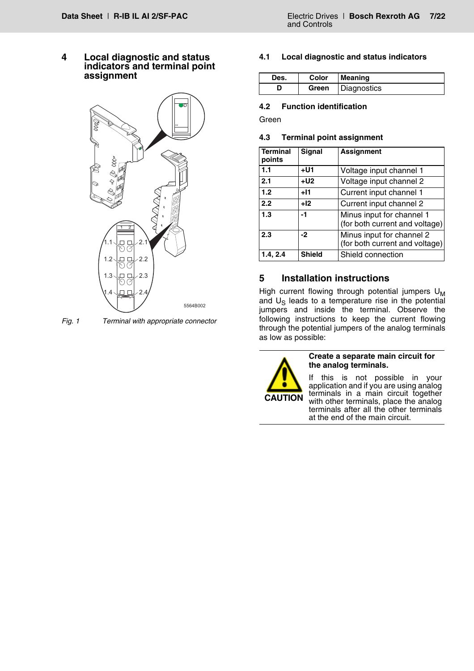<span id="page-6-0"></span>**4 Local diagnostic and status indicators and terminal point assignment**



*Fig. 1 Terminal with appropriate connector*

#### <span id="page-6-1"></span>**4.1 Local diagnostic and status indicators**

| Des. | Color | <b>Meaning</b> |
|------|-------|----------------|
|      | Green | Diagnostics    |

#### <span id="page-6-2"></span>**4.2 Function identification**

Green

#### <span id="page-6-3"></span>**4.3 Terminal point assignment**

| <b>Terminal</b><br>points | <b>Signal</b> | <b>Assignment</b>                                           |
|---------------------------|---------------|-------------------------------------------------------------|
| 1.1                       | $+U1$         | Voltage input channel 1                                     |
| 2.1                       | $+U2$         | Voltage input channel 2                                     |
| 1.2                       | $+11$         | Current input channel 1                                     |
| 2.2                       | $+12$         | Current input channel 2                                     |
| 1.3                       | -1            | Minus input for channel 1<br>(for both current and voltage) |
| 2.3                       | -2            | Minus input for channel 2<br>(for both current and voltage) |
| 1.4, 2.4                  | <b>Shield</b> | Shield connection                                           |

# <span id="page-6-4"></span>**5 Installation instructions**

High current flowing through potential jumpers  $U_M$ and  $U_S$  leads to a temperature rise in the potential jumpers and inside the terminal. Observe the following instructions to keep the current flowing through the potential jumpers of the analog terminals as low as possible:



**Create a separate main circuit for the analog terminals.**

If this is not possible in your application and if you are using analog terminals in a main circuit together with other terminals, place the analog terminals after all the other terminals at the end of the main circuit.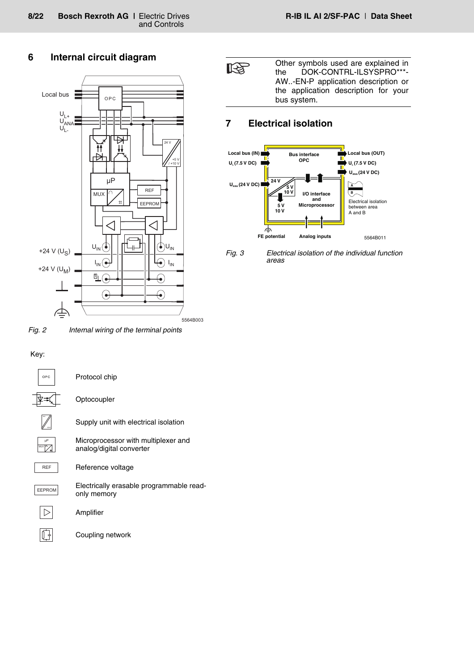# <span id="page-7-0"></span>**6 Internal circuit diagram**



*Fig. 2 Internal wiring of the terminal points*

## Key:

 $\overline{\mathbb{F}}$ 

| OPC                    | Protocol chip                                                   |
|------------------------|-----------------------------------------------------------------|
|                        | Optocoupler                                                     |
|                        | Supply unit with electrical isolation                           |
| μP<br>MUX <sup>O</sup> | Microprocessor with multiplexer and<br>analog/digital converter |
| <b>REF</b>             | Reference voltage                                               |
| <b>EEPROM</b>          | Electrically erasable programmable read-<br>only memory         |
|                        | Amplifier                                                       |
|                        | Coupling network                                                |

Other symbols used are explained in 隐 the DOK-CONTRL-ILSYSPRO\*\*\*- AW..-EN-P application description or the application description for your bus system.

# <span id="page-7-1"></span>**7 Electrical isolation**



*Fig. 3 Electrical isolation of the individual function areas*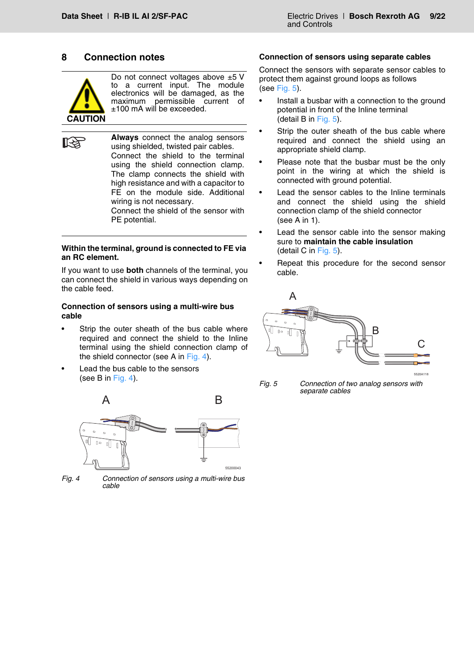## <span id="page-8-0"></span>**8 Connection notes**



**RAD** 

Do not connect voltages above  $\pm 5$  V to a current input. The module electronics will be damaged, as the maximum permissible current of ±100 mA will be exceeded.

**Always** connect the analog sensors using shielded, twisted pair cables. Connect the shield to the terminal using the shield connection clamp. The clamp connects the shield with high resistance and with a capacitor to FE on the module side. Additional wiring is not necessary. Connect the shield of the sensor with

PE potential.

#### **Within the terminal, ground is connected to FE via an RC element.**

If you want to use **both** channels of the terminal, you can connect the shield in various ways depending on the cable feed.

#### **Connection of sensors using a multi-wire bus cable**

- Strip the outer sheath of the bus cable where required and connect the shield to the Inline terminal using the shield connection clamp of the shield connector (see A in [Fig. 4](#page-8-1)).
- Lead the bus cable to the sensors (see B in [Fig. 4](#page-8-1)).



<span id="page-8-1"></span>*Fig. 4 Connection of sensors using a multi-wire bus cable*

#### **Connection of sensors using separate cables**

Connect the sensors with separate sensor cables to protect them against ground loops as follows (see [Fig. 5](#page-8-2)).

- Install a busbar with a connection to the ground potential in front of the Inline terminal (detail B in [Fig. 5\)](#page-8-2).
- Strip the outer sheath of the bus cable where required and connect the shield using an appropriate shield clamp.
- Please note that the busbar must be the only point in the wiring at which the shield is connected with ground potential.
- Lead the sensor cables to the Inline terminals and connect the shield using the shield connection clamp of the shield connector (see A in 1).
- Lead the sensor cable into the sensor making sure to **maintain the cable insulation** (detail C in [Fig. 5](#page-8-2)).
- Repeat this procedure for the second sensor cable.



<span id="page-8-2"></span>*Fig. 5 Connection of two analog sensors with separate cables*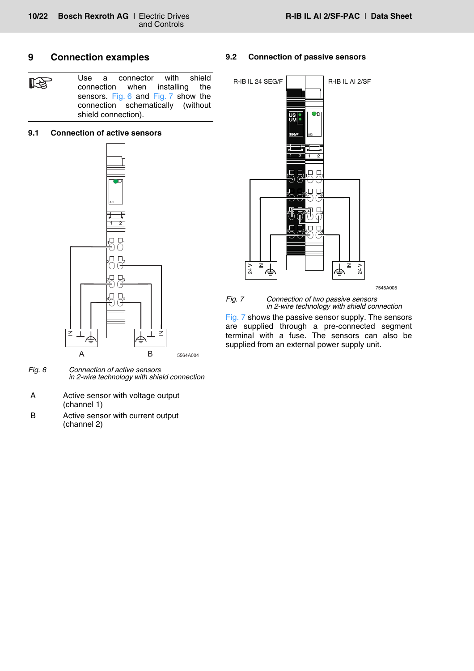# <span id="page-9-0"></span>**9 Connection examples**

Use a connector with shield 飞 connection when installing the sensors. [Fig. 6](#page-9-3) and [Fig. 7](#page-9-4) show the connection schematically (without shield connection).

#### <span id="page-9-1"></span>**9.1 Connection of active sensors**



- <span id="page-9-3"></span>*Fig. 6 Connection of active sensors in 2-wire technology with shield connection*
- A Active sensor with voltage output (channel 1)
- B Active sensor with current output (channel 2)

## <span id="page-9-2"></span>**9.2 Connection of passive sensors**



<span id="page-9-4"></span>*Fig. 7 Connection of two passive sensors in 2-wire technology with shield connection*

[Fig. 7](#page-9-4) shows the passive sensor supply. The sensors are supplied through a pre-connected segment terminal with a fuse. The sensors can also be supplied from an external power supply unit.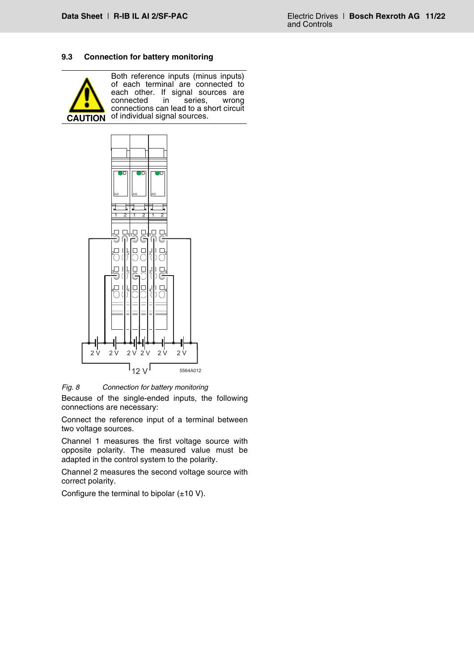## <span id="page-10-0"></span>**9.3 Connection for battery monitoring**



Both reference inputs (minus inputs) of each terminal are connected to each other. If signal sources are connected in series, wrong connections can lead to a short circuit **CAUTION** of individual signal sources.



*Fig. 8 Connection for battery monitoring* Because of the single-ended inputs, the following connections are necessary:

Connect the reference input of a terminal between two voltage sources.

Channel 1 measures the first voltage source with opposite polarity. The measured value must be adapted in the control system to the polarity.

Channel 2 measures the second voltage source with correct polarity.

Configure the terminal to bipolar  $(\pm 10 \text{ V})$ .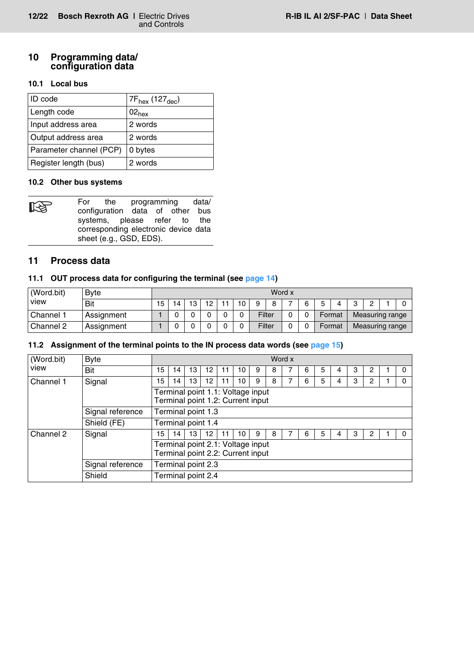# <span id="page-11-0"></span>**10 Programming data/ configuration data**

# <span id="page-11-1"></span>**10.1 Local bus**

| IID code                | 7F <sub>hex</sub> (127 <sub>dec</sub> ) |
|-------------------------|-----------------------------------------|
| Length code             | $02_{hex}$                              |
| Input address area      | 2 words                                 |
| Output address area     | 2 words                                 |
| Parameter channel (PCP) | 0 bytes                                 |
| Register length (bus)   | 2 words                                 |

## <span id="page-11-2"></span>**10.2 Other bus systems**

| <b>ISS</b> |                                      |                         |  |  |  | For the programming data/       |  |
|------------|--------------------------------------|-------------------------|--|--|--|---------------------------------|--|
|            |                                      |                         |  |  |  | configuration data of other bus |  |
|            |                                      |                         |  |  |  | systems, please refer to the    |  |
|            | corresponding electronic device data |                         |  |  |  |                                 |  |
|            |                                      | sheet (e.g., GSD, EDS). |  |  |  |                                 |  |

# <span id="page-11-3"></span>**11 Process data**

## <span id="page-11-4"></span>**11.1 OUT process data for configuring the terminal (see [page 14](#page-13-0))**

| (Word.bit) | Word x<br><b>Byte</b> |    |    |        |                 |    |    |        |   |   |        |   |                 |  |
|------------|-----------------------|----|----|--------|-----------------|----|----|--------|---|---|--------|---|-----------------|--|
| view       | Bit                   | 15 | '4 | 13     | 12 <sup>2</sup> | 11 | 10 | a      | 8 | 6 |        | ິ |                 |  |
| Channel 1  | Assignment            |    |    | $\sim$ |                 | ⌒  |    | Filter |   | ∩ | Format |   | Measuring range |  |
| Channel 2  | Assignment            |    |    | ⌒      |                 |    |    | Filter |   |   | Format |   | Measuring range |  |

# <span id="page-11-5"></span>**11.2 Assignment of the terminal points to the IN process data words (see [page 15](#page-14-0))**

| (Word.bit)                   | <b>Byte</b>      |                                                                        |                                                                        |                    |    |    |    |   |   | Word x |   |   |   |   |   |  |  |
|------------------------------|------------------|------------------------------------------------------------------------|------------------------------------------------------------------------|--------------------|----|----|----|---|---|--------|---|---|---|---|---|--|--|
| view                         | Bit              | 15                                                                     | 14                                                                     | 13                 | 12 | 11 | 10 | 9 | 8 |        | 6 | 5 | 4 | 3 | 2 |  |  |
| Channel 1                    | Signal           | 15                                                                     | 14                                                                     | 13                 | 12 | 11 | 10 | 9 | 8 | 7      | 6 | 5 | 4 | 3 | 2 |  |  |
|                              |                  | Terminal point 1.1: Voltage input<br>Terminal point 1.2: Current input |                                                                        |                    |    |    |    |   |   |        |   |   |   |   |   |  |  |
|                              | Signal reference |                                                                        | Terminal point 1.3                                                     |                    |    |    |    |   |   |        |   |   |   |   |   |  |  |
|                              | Shield (FE)      |                                                                        |                                                                        | Terminal point 1.4 |    |    |    |   |   |        |   |   |   |   |   |  |  |
| Channel 2                    | Signal           | 15                                                                     | 14                                                                     | 13                 | 12 | 11 | 10 | 9 | 8 | 7      | 6 | 5 | 4 | 3 | 2 |  |  |
|                              |                  |                                                                        | Terminal point 2.1: Voltage input<br>Terminal point 2.2: Current input |                    |    |    |    |   |   |        |   |   |   |   |   |  |  |
|                              | Signal reference | Terminal point 2.3                                                     |                                                                        |                    |    |    |    |   |   |        |   |   |   |   |   |  |  |
| Shield<br>Terminal point 2.4 |                  |                                                                        |                                                                        |                    |    |    |    |   |   |        |   |   |   |   |   |  |  |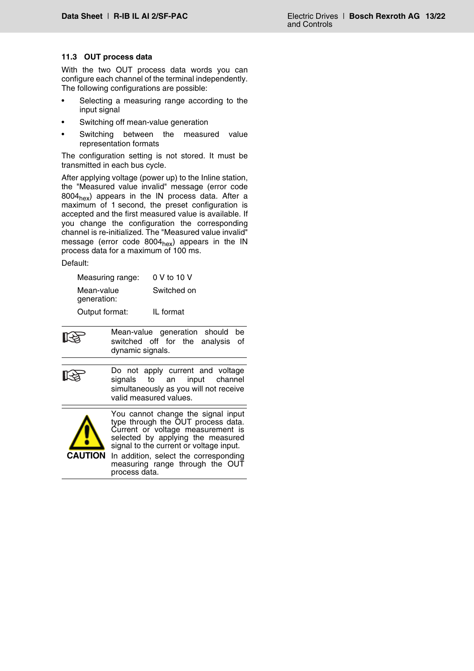## <span id="page-12-0"></span>**11.3 OUT process data**

With the two OUT process data words you can configure each channel of the terminal independently. The following configurations are possible:

- Selecting a measuring range according to the input signal
- Switching off mean-value generation
- Switching between the measured value representation formats

The configuration setting is not stored. It must be transmitted in each bus cycle.

After applying voltage (power up) to the Inline station, the "Measured value invalid" message (error code  $8004<sub>hex</sub>$ ) appears in the IN process data. After a maximum of 1 second, the preset configuration is accepted and the first measured value is available. If you change the configuration the corresponding channel is re-initialized. The "Measured value invalid" message (error code  $8004<sub>hex</sub>$ ) appears in the IN process data for a maximum of 100 ms.

#### Default:

| Measuring range:          | 0 V to 10 V |
|---------------------------|-------------|
| Mean-value<br>generation: | Switched on |
| Output format:            | IL format   |

Mean-value generation should be [২≵ switched off for the analysis of dynamic signals. Do not apply current and voltage ।स्त्रि signals to an input channel simultaneously as you will not receive valid measured values. You cannot change the signal input type through the OUT process data. Current or voltage measurement is selected by applying the measured signal to the current or voltage input. **CAUTION**In addition, select the corresponding measuring range through the OUT process data.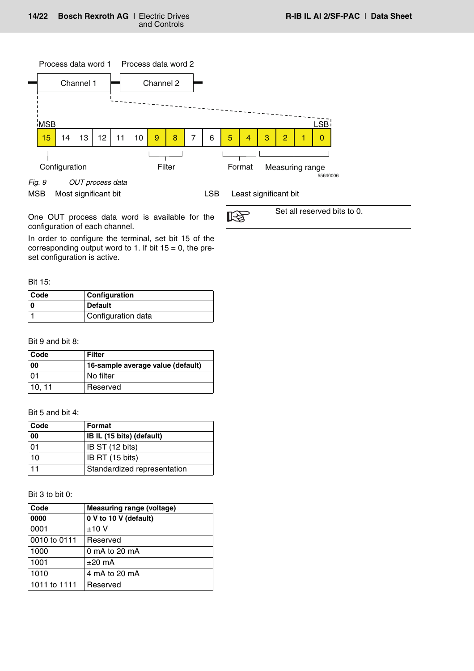

<span id="page-13-0"></span>MSB Most significant bit LSB Least significant bit

Set all reserved bits to 0.

咚 One OUT process data word is available for the configuration of each channel.

In order to configure the terminal, set bit 15 of the corresponding output word to 1. If bit  $15 = 0$ , the preset configuration is active.

Bit 15:

| <b>Code</b> | Configuration      |
|-------------|--------------------|
|             | <b>Default</b>     |
|             | Configuration data |

Bit 9 and bit 8:

| Code  | Filter                            |
|-------|-----------------------------------|
| 00    | 16-sample average value (default) |
| 01    | l No filter                       |
| 10.11 | Reserved                          |

Bit 5 and bit 4:

| Code | Format                           |
|------|----------------------------------|
| 00   | <b>IB IL (15 bits) (default)</b> |
| 01   | IB ST (12 bits)                  |
| 10   | IB RT (15 bits)                  |
|      | Standardized representation      |

Bit 3 to bit 0:

| Code         | <b>Measuring range (voltage)</b> |
|--------------|----------------------------------|
| 0000         | 0 V to 10 V (default)            |
| 0001         | ±10V                             |
| 0010 to 0111 | Reserved                         |
| 1000         | 0 mA to 20 mA                    |
| 1001         | $\pm 20$ mA                      |
| 1010         | 4 mA to 20 mA                    |
| 1011 to 1111 | Reserved                         |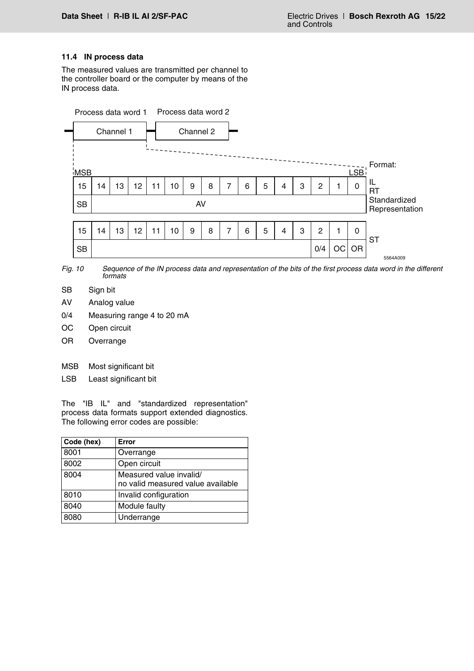## <span id="page-14-0"></span>**11.4 IN process data**

The measured values are transmitted per channel to the controller board or the computer by means of the IN process data.



*Fig. 10 Sequence of the IN process data and representation of the bits of the first process data word in the different formats*

- SB Sign bit
- AV Analog value
- 0/4 Measuring range 4 to 20 mA
- OC Open circuit
- OR Overrange
- MSB Most significant bit
- LSB Least significant bit

The "IB IL" and "standardized representation" process data formats support extended diagnostics. The following error codes are possible:

<span id="page-14-1"></span>

| Code (hex) | Error                                                        |
|------------|--------------------------------------------------------------|
| 8001       | Overrange                                                    |
| 8002       | Open circuit                                                 |
| 8004       | Measured value invalid/<br>no valid measured value available |
| 8010       | Invalid configuration                                        |
| 8040       | Module faulty                                                |
| 8080       | Underrange                                                   |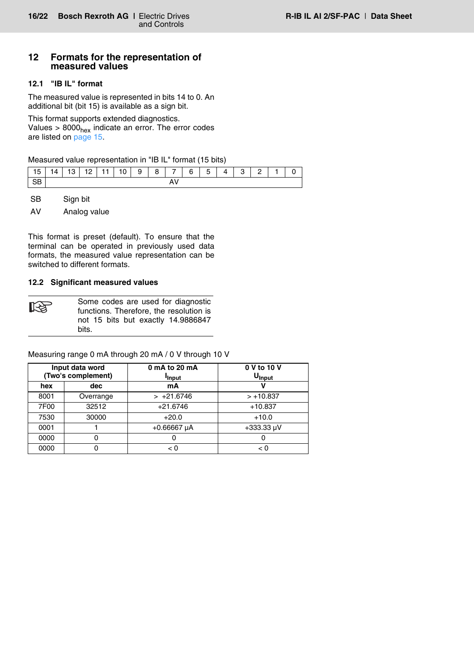## <span id="page-15-0"></span>**12 Formats for the representation of measured values**

# <span id="page-15-1"></span>**12.1 "IB IL" format**

The measured value is represented in bits 14 to 0. An additional bit (bit 15) is available as a sign bit.

This format supports extended diagnostics. Values >  $8000<sub>hex</sub>$  indicate an error. The error codes are listed on [page 15.](#page-14-1)

Measured value representation in "IB IL" format (15 bits)

| 15   14   13   12   11   10   9   8   7   6   5   4   3   2   1   0 |  |  |  |  |  |  |  |  |
|---------------------------------------------------------------------|--|--|--|--|--|--|--|--|
| l SB                                                                |  |  |  |  |  |  |  |  |

SB Sign bit

AV Analog value

This format is preset (default). To ensure that the terminal can be operated in previously used data formats, the measured value representation can be switched to different formats.

## <span id="page-15-2"></span>**12.2 Significant measured values**

Some codes are used for diagnostic functions. Therefore, the resolution is not 15 bits but exactly 14.9886847 bits.

Measuring range 0 mA through 20 mA / 0 V through 10 V

|      | Input data word<br>(Two's complement) | 0 mA to 20 mA<br><b>I</b> nput | 0 V to 10 V<br>U <sub>Input</sub> |
|------|---------------------------------------|--------------------------------|-----------------------------------|
| hex  | dec                                   | mA                             |                                   |
| 8001 | Overrange                             | $> +21.6746$                   | $> +10.837$                       |
| 7F00 | 32512                                 | $+21.6746$                     | $+10.837$                         |
| 7530 | 30000                                 | $+20.0$                        | $+10.0$                           |
| 0001 |                                       | $+0.66667$ µA                  | $+333.33 \,\mu V$                 |
| 0000 |                                       |                                |                                   |
| 0000 |                                       | < 0                            | < 0                               |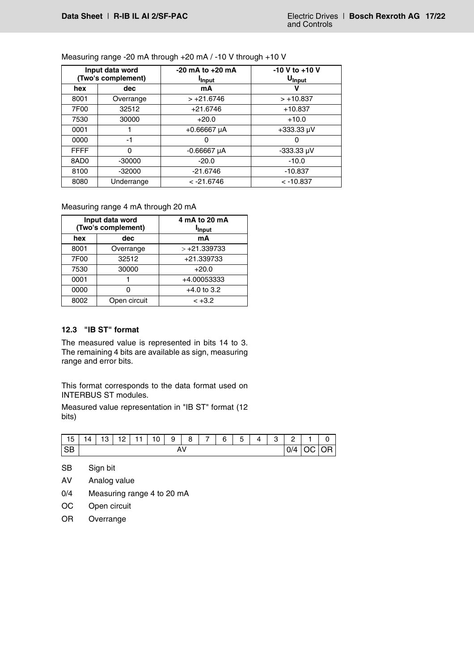|                  | Input data word<br>(Two's complement) | $-20$ mA to $+20$ mA<br><b>I</b> nput | $-10$ V to $+10$ V<br>U <sub>Input</sub> |
|------------------|---------------------------------------|---------------------------------------|------------------------------------------|
| hex              | dec                                   | mA                                    |                                          |
| 8001             | Overrange                             | $> +21.6746$                          | $>+10.837$                               |
| 7F00             | 32512                                 | $+21.6746$                            | $+10.837$                                |
| 7530             | 30000                                 | $+20.0$                               | $+10.0$                                  |
| 0001             |                                       | $+0.66667 \mu A$                      | $+333.33 \,\mu V$                        |
| 0000             | -1                                    | 0                                     |                                          |
| <b>FFFF</b>      | 0                                     | $-0.66667 \mu A$                      | $-333.33 \mu V$                          |
| 8AD <sub>0</sub> | $-30000$                              | $-20.0$                               | $-10.0$                                  |
| 8100             | $-32000$                              | $-21.6746$                            | $-10.837$                                |
| 8080             | Underrange                            | $< -21.6746$                          | $< -10.837$                              |

Measuring range -20 mA through +20 mA / -10 V through +10 V

## Measuring range 4 mA through 20 mA

|      | Input data word<br>(Two's complement) | 4 mA to 20 mA<br><b>Input</b> |
|------|---------------------------------------|-------------------------------|
| hex  | dec                                   | mA                            |
| 8001 | Overrange                             | $> +21.339733$                |
| 7F00 | 32512                                 | +21.339733                    |
| 7530 | 30000                                 | $+20.0$                       |
| 0001 |                                       | +4.00053333                   |
| 0000 |                                       | $+4.0$ to 3.2                 |
| 8002 | Open circuit                          | $< +3.2$                      |

## <span id="page-16-0"></span>**12.3 "IB ST" format**

The measured value is represented in bits 14 to 3. The remaining 4 bits are available as sign, measuring range and error bits.

This format corresponds to the data format used on INTERBUS ST modules.

Measured value representation in "IB ST" format (12 bits)

| 15              | 14 | 12<br>ں ا | 10<br>. |  | 10 | 9 | 8 | - | 6 | -<br>∽<br>u | Λ | $\sim$<br>ٮ      | $\sim$<br><u>—</u> |           |  |
|-----------------|----|-----------|---------|--|----|---|---|---|---|-------------|---|------------------|--------------------|-----------|--|
| <b>CR</b><br>ာဝ |    | A۷        |         |  |    |   |   |   |   |             |   | $\bigcap A$<br>U | м<br>∼             | <b>OR</b> |  |

SB Sign bit

AV Analog value

- 0/4 Measuring range 4 to 20 mA
- OC Open circuit
- OR Overrange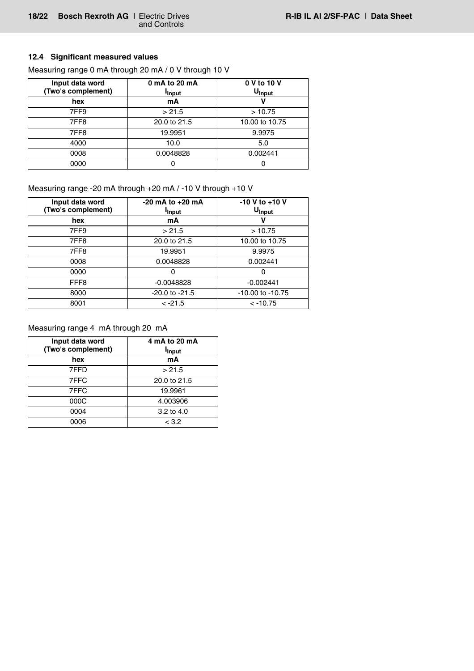# <span id="page-17-0"></span>**12.4 Significant measured values**

| Input data word<br>(Two's complement) | 0 mA to 20 mA<br><b>I</b> Input | 0 V to 10 V<br>U <sub>Input</sub> |
|---------------------------------------|---------------------------------|-----------------------------------|
| hex                                   | mA                              |                                   |
| 7FF9                                  | > 21.5                          | >10.75                            |
| 7FF8                                  | 20.0 to 21.5                    | 10.00 to 10.75                    |
| 7FF8                                  | 19.9951                         | 9.9975                            |
| 4000                                  | 10.0                            | 5.0                               |
| 0008                                  | 0.0048828                       | 0.002441                          |
| 0000                                  | O                               |                                   |

Measuring range 0 mA through 20 mA / 0 V through 10 V

# Measuring range -20 mA through +20 mA / -10 V through +10 V

| Input data word<br>(Two's complement) | $-20$ mA to $+20$ mA<br><b>I</b> nput | $-10$ V to $+10$ V<br>U <sub>Input</sub> |
|---------------------------------------|---------------------------------------|------------------------------------------|
| hex                                   | mA                                    |                                          |
| 7FF9                                  | > 21.5                                | >10.75                                   |
| 7FF8                                  | 20.0 to 21.5                          | 10.00 to 10.75                           |
| 7FF8                                  | 19.9951                               | 9.9975                                   |
| 0008                                  | 0.0048828                             | 0.002441                                 |
| 0000                                  | 0                                     | 0                                        |
| FFF <sub>8</sub>                      | $-0.0048828$                          | $-0.002441$                              |
| 8000                                  | $-20.0$ to $-21.5$                    | $-10.00$ to $-10.75$                     |
| 8001                                  | $< -21.5$                             | $< -10.75$                               |

# Measuring range 4 mA through 20 mA

| Input data word<br>(Two's complement) | 4 mA to 20 mA<br><b>I</b> <sub>Input</sub> |
|---------------------------------------|--------------------------------------------|
| hex                                   | mA                                         |
| 7FFD                                  | > 21.5                                     |
| 7FFC                                  | 20.0 to 21.5                               |
| 7FFC                                  | 19.9961                                    |
| 000C                                  | 4.003906                                   |
| 0004                                  | 3.2 to 4.0                                 |
| 0006                                  | < 3.2                                      |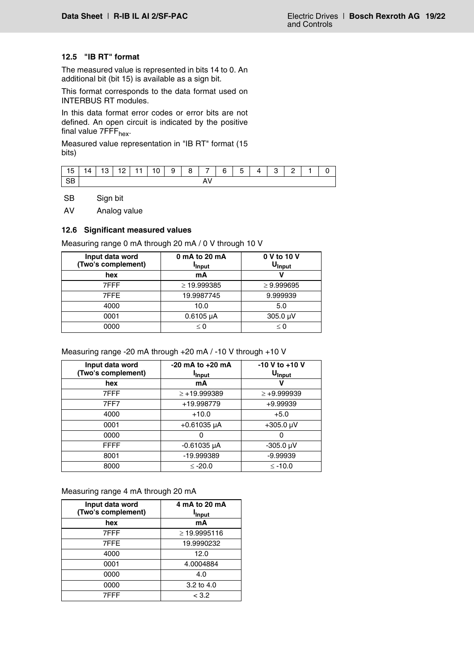## <span id="page-18-0"></span>**12.5 "IB RT" format**

The measured value is represented in bits 14 to 0. An additional bit (bit 15) is available as a sign bit.

This format corresponds to the data format used on INTERBUS RT modules.

In this data format error codes or error bits are not defined. An open circuit is indicated by the positive final value 7FFF<sub>hex</sub>.

Measured value representation in "IB RT" format (15 bits)

| $\vert$ 15 | 14 I | $-13$ $\pm$ |  |  | $12$   11   10   9   8   7   6 |  |  |  |  | 5 <sup>1</sup> |  | 4 3 | - 2 |  |  |
|------------|------|-------------|--|--|--------------------------------|--|--|--|--|----------------|--|-----|-----|--|--|
| <b>QR</b>  | ₩    |             |  |  |                                |  |  |  |  |                |  |     |     |  |  |
| ىن         | Λ    |             |  |  |                                |  |  |  |  |                |  |     |     |  |  |

SB Sign bit

AV Analog value

#### <span id="page-18-1"></span>**12.6 Significant measured values**

Measuring range 0 mA through 20 mA / 0 V through 10 V

| Input data word<br>(Two's complement) | 0 mA to 20 mA<br><b>I</b> Input | 0 V to 10 V<br>U <sub>Input</sub> |
|---------------------------------------|---------------------------------|-----------------------------------|
| hex                                   | mA                              |                                   |
| 7FFF                                  | $\geq$ 19.999385                | $\geq 9.999695$                   |
| 7FFE                                  | 19.9987745                      | 9.999939                          |
| 4000                                  | 10.0                            | 5.0                               |
| 0001                                  | $0.6105 \mu A$                  | $305.0 \mu V$                     |
| 0000                                  | $\leq 0$                        | $\leq 0$                          |

## Measuring range -20 mA through +20 mA / -10 V through +10 V

| Input data word<br>(Two's complement) | $-20$ mA to $+20$ mA<br><b>Input</b> | $-10$ V to $+10$ V<br>U <sub>Input</sub> |
|---------------------------------------|--------------------------------------|------------------------------------------|
| hex                                   | mA                                   |                                          |
| 7FFF                                  | $\ge +19.999389$                     | $\ge +9.999939$                          |
| 7FF7                                  | +19.998779                           | $+9.99939$                               |
| 4000                                  | $+10.0$                              | $+5.0$                                   |
| 0001                                  | $+0.61035 \mu A$                     | $+305.0 \text{ }\mu\text{V}$             |
| 0000                                  |                                      |                                          |
| <b>FFFF</b>                           | $-0.61035 \mu A$                     | $-305.0 \mu V$                           |
| 8001                                  | -19.999389                           | $-9.99939$                               |
| 8000                                  | $\leq$ -20.0                         | $\leq$ -10.0                             |

#### Measuring range 4 mA through 20 mA

| Input data word<br>(Two's complement) | 4 mA to 20 mA<br><b>Input</b> |
|---------------------------------------|-------------------------------|
| hex                                   | mA                            |
| 7FFF                                  | $\geq$ 19.9995116             |
| 7FFE                                  | 19.9990232                    |
| 4000                                  | 12.0                          |
| 0001                                  | 4.0004884                     |
| 0000                                  | 4.0                           |
| 0000                                  | 3.2 to $4.0$                  |
| 7FFF                                  | < 3.2                         |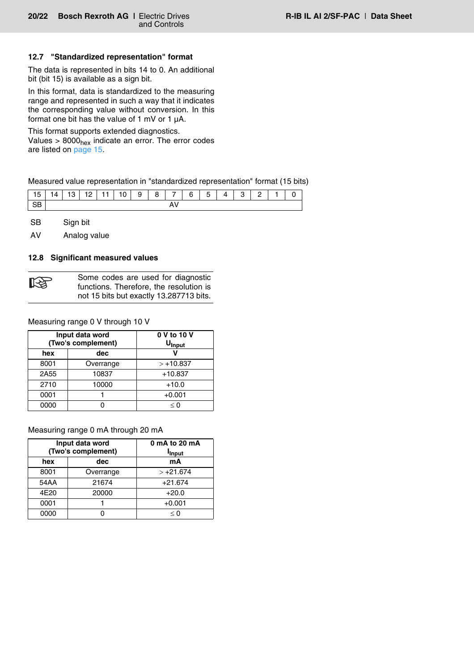#### <span id="page-19-0"></span>**12.7 "Standardized representation" format**

The data is represented in bits 14 to 0. An additional bit (bit 15) is available as a sign bit.

In this format, data is standardized to the measuring range and represented in such a way that it indicates the corresponding value without conversion. In this format one bit has the value of 1 mV or 1 µA.

This format supports extended diagnostics. Values  $> 8000<sub>hex</sub>$  indicate an error. The error codes are listed on [page 15.](#page-14-1)

Measured value representation in "standardized representation" format (15 bits)

| 15 | ا 4 | 13 | 12 L | 11 | 10 <sub>1</sub> | 9 | 8 I |  | 6 | 5 | $\Lambda$ | $\mathbf{r}$ | – |  |  |
|----|-----|----|------|----|-----------------|---|-----|--|---|---|-----------|--------------|---|--|--|
| CD |     |    |      |    |                 |   |     |  |   |   |           |              |   |  |  |

SB Sign bit

AV Analog value

#### <span id="page-19-1"></span>**12.8 Significant measured values**

| 咚 | Some codes are used for diagnostic<br>functions. Therefore, the resolution is |
|---|-------------------------------------------------------------------------------|
|   | not 15 bits but exactly 13.287713 bits.                                       |

Measuring range 0 V through 10 V

|      | Input data word<br>(Two's complement) | 0 V to 10 V<br>U <sub>Input</sub> |
|------|---------------------------------------|-----------------------------------|
| hex  | dec                                   |                                   |
| 8001 | Overrange                             | $>+10.837$                        |
| 2A55 | 10837                                 | $+10.837$                         |
| 2710 | 10000                                 | $+10.0$                           |
| 0001 |                                       | $+0.001$                          |
| 0000 |                                       | $\leq 0$                          |

#### Measuring range 0 mA through 20 mA

| Input data word<br>(Two's complement) |           | 0 mA to 20 mA<br><b>I</b> <sub>Input</sub> |
|---------------------------------------|-----------|--------------------------------------------|
| hex                                   | dec       | mA                                         |
| 8001                                  | Overrange | $> +21.674$                                |
| 54AA                                  | 21674     | $+21.674$                                  |
| 4E20                                  | 20000     | $+20.0$                                    |
| 0001                                  |           | $+0.001$                                   |
| 0000                                  |           | < 0                                        |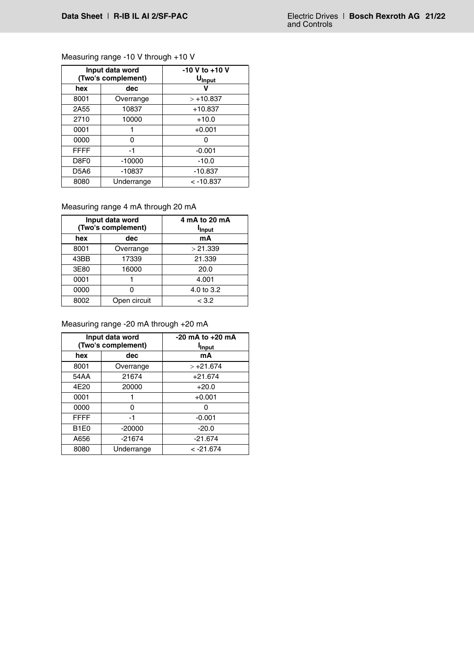# Measuring range -10 V through +10 V

| Input data word<br>(Two's complement) |            | $-10$ V to $+10$ V<br>U <sub>Input</sub> |  |
|---------------------------------------|------------|------------------------------------------|--|
| hex                                   | dec        |                                          |  |
| 8001                                  | Overrange  | $> +10.837$                              |  |
| 2A55                                  | 10837      | $+10.837$                                |  |
| 2710                                  | 10000      | $+10.0$                                  |  |
| 0001                                  |            | $+0.001$                                 |  |
| 0000                                  | ი          |                                          |  |
| <b>FFFF</b>                           | -1         | $-0.001$                                 |  |
| D8F0                                  | $-10000$   | $-10.0$                                  |  |
| D5A6                                  | $-10837$   | $-10.837$                                |  |
| 8080                                  | Underrange | $< -10.837$                              |  |

# Measuring range 4 mA through 20 mA

| Input data word<br>(Two's complement) |              | 4 mA to 20 mA<br><b>I</b> <sub>Input</sub> |  |
|---------------------------------------|--------------|--------------------------------------------|--|
| hex                                   | dec          | mA                                         |  |
| 8001                                  | Overrange    | > 21.339                                   |  |
| 43BB                                  | 17339        | 21.339                                     |  |
| 3E80                                  | 16000        | 20.0                                       |  |
| 0001                                  |              | 4.001                                      |  |
| 0000                                  |              | 4.0 to 3.2                                 |  |
| 8002                                  | Open circuit | < 3.2                                      |  |

# Measuring range -20 mA through +20 mA

| Input data word<br>(Two's complement) |            | $-20$ mA to $+20$ mA<br><b>Input</b> |  |
|---------------------------------------|------------|--------------------------------------|--|
| hex                                   | dec        | mA                                   |  |
| 8001                                  | Overrange  | $> +21.674$                          |  |
| 54AA                                  | 21674      | $+21.674$                            |  |
| 4E20                                  | 20000      | $+20.0$                              |  |
| 0001                                  |            | $+0.001$                             |  |
| 0000                                  | 0          | ი                                    |  |
| <b>FFFF</b>                           | -1         | $-0.001$                             |  |
| B <sub>1</sub> E <sub>0</sub>         | $-20000$   | $-20.0$                              |  |
| A656                                  | $-21674$   | $-21.674$                            |  |
| 8080                                  | Underrange | $< -21.674$                          |  |